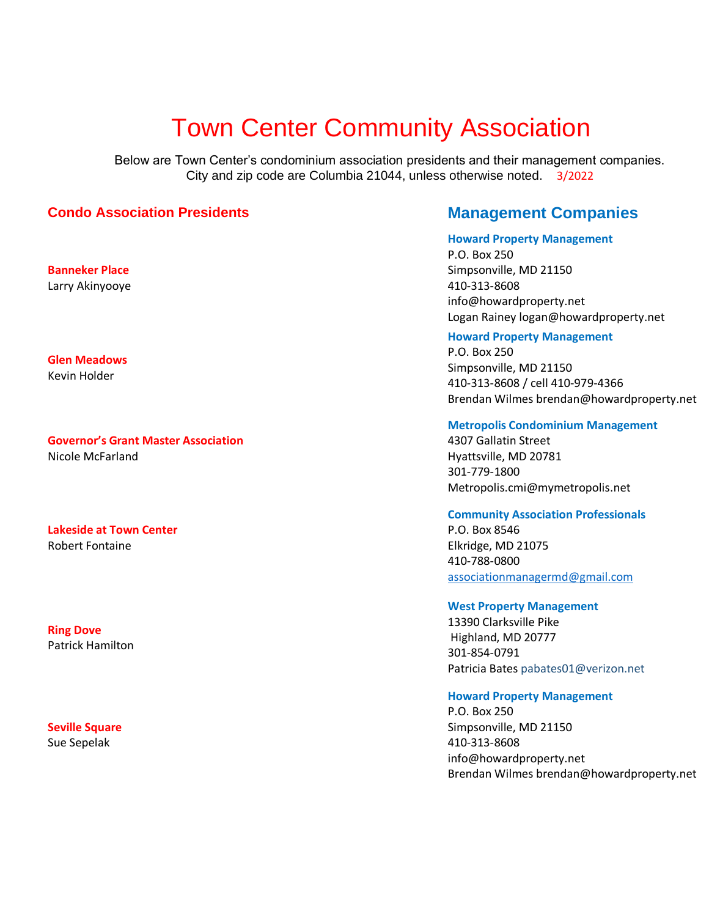# Town Center Community Association

Below are Town Center's condominium association presidents and their management companies. City and zip code are Columbia 21044, unless otherwise noted. 3/2022

# **Condo Association Presidents Management Companies**

**Banneker Place**  Larry Akinyooye

**Glen Meadows**  Kevin Holder

# **Governor's Grant Master Association**

Nicole McFarland

**Lakeside at Town Center**  Robert Fontaine

**Ring Dove**  Patrick Hamilton

# **Seville Square**  Sue Sepelak

#### **Howard Property Management**

P.O. Box 250 Simpsonville, MD 21150 410-313-8608 info@howardproperty.net Logan Rainey logan@howardproperty.net

#### **Howard Property Management**

P.O. Box 250 Simpsonville, MD 21150 410-313-8608 / cell 410-979-4366 Brendan Wilmes brendan@howardproperty.net

#### **Metropolis Condominium Management**

4307 Gallatin Street Hyattsville, MD 20781 301-779-1800 Metropolis.cmi@mymetropolis.net

# **Community Association Professionals**

P.O. Box 8546 Elkridge, MD 21075 410-788-0800 [associationmanagermd@gmail.com](mailto:associationmanagermd@gmail.com)

#### **West Property Management**

13390 Clarksville Pike Highland, MD 20777 301-854-0791 Patricia Bates pabates01@verizon.net

# **Howard Property Management**

P.O. Box 250 Simpsonville, MD 21150 410-313-8608 info@howardproperty.net Brendan Wilmes brendan@howardproperty.net